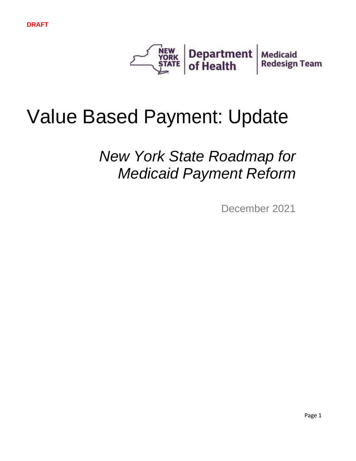

# Value Based Payment: Update

*New York State Roadmap for Medicaid Payment Reform*

December 2021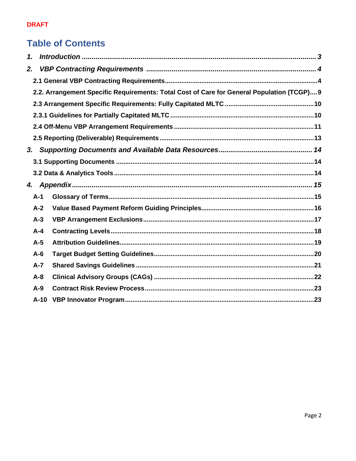# **Table of Contents**

| 1.             |                                                                                            |  |
|----------------|--------------------------------------------------------------------------------------------|--|
| 2.             |                                                                                            |  |
|                |                                                                                            |  |
|                | 2.2. Arrangement Specific Requirements: Total Cost of Care for General Population (TCGP) 9 |  |
|                |                                                                                            |  |
|                |                                                                                            |  |
|                |                                                                                            |  |
|                |                                                                                            |  |
| 3 <sub>r</sub> |                                                                                            |  |
|                |                                                                                            |  |
|                |                                                                                            |  |
|                |                                                                                            |  |
|                |                                                                                            |  |
| $A-1$          |                                                                                            |  |
| $A-2$          |                                                                                            |  |
| $A-3$          |                                                                                            |  |
| $A - 4$        |                                                                                            |  |
| $A-5$          |                                                                                            |  |
| $A-6$          |                                                                                            |  |
| $A - 7$        |                                                                                            |  |
| $A - 8$        |                                                                                            |  |
| $A-9$          |                                                                                            |  |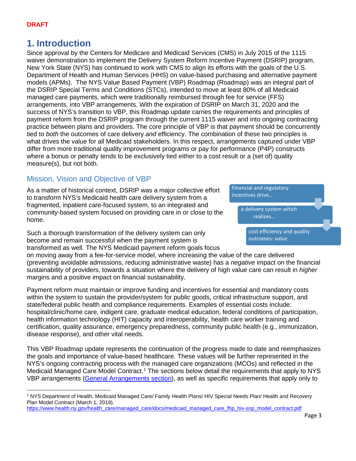# <span id="page-2-0"></span>**1. Introduction**

Since approval by the Centers for Medicare and Medicaid Services (CMS) in July 2015 of the 1115 waiver demonstration to implement the Delivery System Reform Incentive Payment (DSRIP) program, New York State (NYS) has continued to work with CMS to align its efforts with the goals of the U.S. Department of Health and Human Services (HHS) on value-based purchasing and alternative payment models (APMs). The NYS Value Based Payment (VBP) Roadmap (Roadmap) was an integral part of the DSRIP Special Terms and Conditions (STCs), intended to move at least 80% of all Medicaid managed care payments, which were traditionally reimbursed through fee for service (FFS) arrangements, into VBP arrangements. With the expiration of DSRIP on March 31, 2020 and the success of NYS's transition to VBP, this Roadmap update carries the requirements and principles of payment reform from the DSRIP program through the current 1115 waiver and into ongoing contracting practice between plans and providers. The core principle of VBP is that payment should be concurrently tied to *both* the outcomes of care delivery *and* efficiency. The combination of these two principles is what drives the value for all Medicaid stakeholders. In this respect, arrangements captured under VBP differ from more traditional quality improvement programs or pay for performance (P4P) constructs where a bonus or penalty tends to be exclusively tied either to a cost result or a (set of) quality measure(s), but not both.

# Mission, Vision and Objective of VBP

As a matter of historical context, DSRIP was a major collective effort to transform NYS's Medicaid health care delivery system from a fragmented, inpatient care-focused system, to an integrated and community-based system focused on providing care in or close to the home.

Such a thorough transformation of the delivery system can only become and remain successful when the payment system is transformed as well. The NYS Medicaid payment reform goals focus



on moving away from a fee-for-service model, where increasing the value of the care delivered (preventing avoidable admissions, reducing administrative waste) has a *negative* impact on the financial sustainability of providers, towards a situation where the delivery of high value care can result in *higher*  margins and a positive impact on financial sustainability.

Payment reform must maintain or improve funding and incentives for essential and mandatory costs within the system to sustain the provider/system for public goods, critical infrastructure support, and state/federal public health and compliance requirements. Examples of essential costs include: hospital/clinic/home care, indigent care, graduate medical education, federal conditions of participation, health information technology (HIT) capacity and interoperability, health care worker training and certification, quality assurance, emergency preparedness, community public health (e.g., immunization, disease response), and other vital needs.

This VBP Roadmap update represents the continuation of the progress made to date and reemphasizes the goals and importance of value-based healthcare. These values will be further represented in the NYS's ongoing contracting process with the managed care organizations (MCOs) and reflected in the Medicaid Managed Care Model Contract.<sup>[1](#page-2-1)</sup> The sections below detail the requirements that apply to NYS VBP arrangements [\(General Arrangements](#page-3-1) section), as well as specific requirements that apply only to

[https://www.health.ny.gov/health\\_care/managed\\_care/docs/medicaid\\_managed\\_care\\_fhp\\_hiv-snp\\_model\\_contract.pdf](https://www.health.ny.gov/health_care/managed_care/docs/medicaid_managed_care_fhp_hiv-snp_model_contract.pdf)

<span id="page-2-1"></span><sup>1</sup> NYS Department of Health, Medicaid Managed Care/ Family Health Plans/ HIV Special Needs Plan/ Health and Recovery Plan Model Contract (March 1, 2019).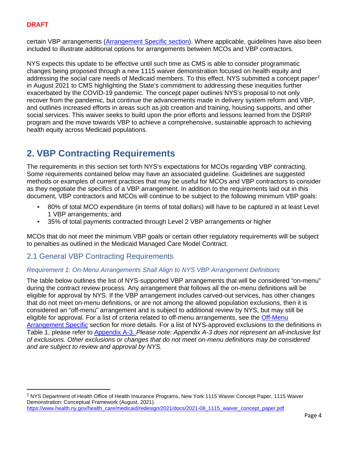certain VBP arrangements [\(Arrangement Specific](#page-8-0) section). Where applicable, guidelines have also been included to illustrate additional options for arrangements between MCOs and VBP contractors.

NYS expects this update to be effective until such time as CMS is able to consider programmatic changes being proposed through a new 1115 waiver demonstration focused on health equity and addressing the social care needs of Medicaid members. To this effect, NYS submitted a concept paper<sup>[2](#page-3-2)</sup> in August 2021 to CMS highlighting the State's commitment to addressing these inequities further exacerbated by the COVID-19 pandemic. The concept paper outlines NYS's proposal to not only recover from the pandemic, but continue the advancements made in delivery system reform and VBP, and outlines increased efforts in areas such as job creation and training, housing supports, and other social services. This waiver seeks to build upon the prior efforts and lessons learned from the DSRIP program and the move towards VBP to achieve a comprehensive, sustainable approach to achieving health equity across Medicaid populations.

# <span id="page-3-0"></span>**2. VBP Contracting Requirements**

The requirements in this section set forth NYS's expectations for MCOs regarding VBP contracting. Some requirements contained below may have an associated guideline. Guidelines are suggested methods or examples of current practices that may be useful for MCOs and VBP contractors to consider as they negotiate the specifics of a VBP arrangement. In addition to the requirements laid out in this document, VBP contractors and MCOs will continue to be subject to the following minimum VBP goals:

- 80% of total MCO expenditure (in terms of total dollars) will have to be captured in at least Level 1 VBP arrangements; and
- 35% of total payments contracted through Level 2 VBP arrangements or higher

MCOs that do not meet the minimum VBP goals or certain other regulatory requirements will be subject to penalties as outlined in the Medicaid Managed Care Model Contract.

# <span id="page-3-1"></span>2.1 General VBP Contracting Requirements

## *Requirement 1: On-Menu Arrangements Shall Align to NYS VBP Arrangement Definitions*

The table below outlines the list of NYS-supported VBP arrangements that will be considered "on-menu" during the contract review process. Any arrangement that follows all the on-menu definitions will be eligible for approval by NYS. If the VBP arrangement includes carved-out services, has other changes that do not meet on-menu definitions, or are not among the allowed population exclusions, then it is considered an "off-menu" arrangement and is subject to additional review by NYS, but may still be eligible for approval. For a list of criteria related to off-menu arrangements, see the Off-Menu [Arrangement Specific](#page-10-0) section for more details. For a list of NYS-approved exclusions to the definitions in Table 1, please refer to [Appendix A-3.](#page-16-0) *Please note: Appendix A-3 does not represent an all-inclusive list of exclusions. Other exclusions or changes that do not meet on-menu definitions may be considered and are subject to review and approval by NYS.*

<span id="page-3-2"></span><sup>2</sup> NYS Department of Health Office of Health Insurance Programs, New York 1115 Waiver Concept Paper, 1115 Waiver Demonstration: Conceptual Framework (August, 2021). [https://www.health.ny.gov/health\\_care/medicaid/redesign/2021/docs/2021-08\\_1115\\_waiver\\_concept\\_paper.pdf](https://www.health.ny.gov/health_care/medicaid/redesign/2021/docs/2021-08_1115_waiver_concept_paper.pdf)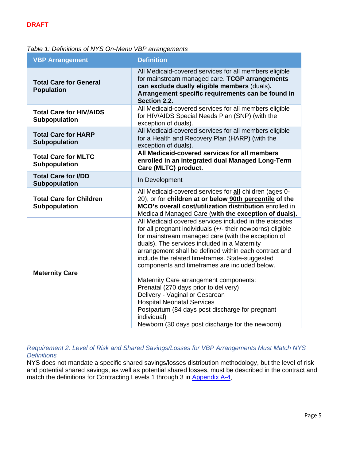# *Table 1: Definitions of NYS On-Menu VBP arrangements*

| <b>VBP Arrangement</b>                             | <b>Definition</b>                                                                                                                                                                                                                                                                                                                                                                                                                                                                                                                                                                                                                                                       |
|----------------------------------------------------|-------------------------------------------------------------------------------------------------------------------------------------------------------------------------------------------------------------------------------------------------------------------------------------------------------------------------------------------------------------------------------------------------------------------------------------------------------------------------------------------------------------------------------------------------------------------------------------------------------------------------------------------------------------------------|
| <b>Total Care for General</b><br><b>Population</b> | All Medicaid-covered services for all members eligible<br>for mainstream managed care. TCGP arrangements<br>can exclude dually eligible members (duals).<br>Arrangement specific requirements can be found in<br>Section 2.2.                                                                                                                                                                                                                                                                                                                                                                                                                                           |
| <b>Total Care for HIV/AIDS</b><br>Subpopulation    | All Medicaid-covered services for all members eligible<br>for HIV/AIDS Special Needs Plan (SNP) (with the<br>exception of duals).                                                                                                                                                                                                                                                                                                                                                                                                                                                                                                                                       |
| <b>Total Care for HARP</b><br><b>Subpopulation</b> | All Medicaid-covered services for all members eligible<br>for a Health and Recovery Plan (HARP) (with the<br>exception of duals).                                                                                                                                                                                                                                                                                                                                                                                                                                                                                                                                       |
| <b>Total Care for MLTC</b><br>Subpopulation        | All Medicaid-covered services for all members<br>enrolled in an integrated dual Managed Long-Term<br>Care (MLTC) product.                                                                                                                                                                                                                                                                                                                                                                                                                                                                                                                                               |
| <b>Total Care for I/DD</b><br><b>Subpopulation</b> | In Development                                                                                                                                                                                                                                                                                                                                                                                                                                                                                                                                                                                                                                                          |
| <b>Total Care for Children</b><br>Subpopulation    | All Medicaid-covered services for all children (ages 0-<br>20), or for children at or below 90th percentile of the<br>MCO's overall cost/utilization distribution enrolled in<br>Medicaid Managed Care (with the exception of duals).                                                                                                                                                                                                                                                                                                                                                                                                                                   |
| <b>Maternity Care</b>                              | All Medicaid covered services included in the episodes<br>for all pregnant individuals (+/- their newborns) eligible<br>for mainstream managed care (with the exception of<br>duals). The services included in a Maternity<br>arrangement shall be defined within each contract and<br>include the related timeframes. State-suggested<br>components and timeframes are included below.<br>Maternity Care arrangement components:<br>Prenatal (270 days prior to delivery)<br>Delivery - Vaginal or Cesarean<br><b>Hospital Neonatal Services</b><br>Postpartum (84 days post discharge for pregnant<br>individual)<br>Newborn (30 days post discharge for the newborn) |

*Requirement 2: Level of Risk and Shared Savings/Losses for VBP Arrangements Must Match NYS Definitions*

NYS does not mandate a specific shared savings/losses distribution methodology, but the level of risk and potential shared savings, as well as potential shared losses, must be described in the contract and match the definitions for Contracting Levels 1 through 3 in [Appendix A-4.](#page-17-0)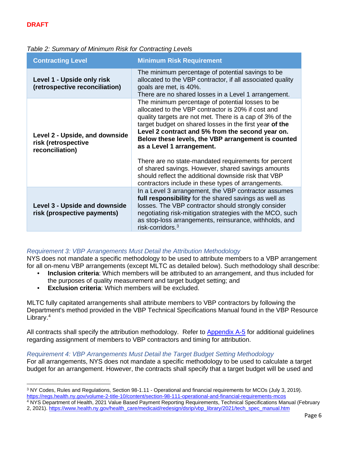| Table 2: Summary of Minimum Risk for Contracting Levels |  |  |  |  |
|---------------------------------------------------------|--|--|--|--|
|---------------------------------------------------------|--|--|--|--|

| <b>Contracting Level</b>                                                 | <b>Minimum Risk Requirement</b>                                                                                                                                                                                                                                                                                                                                                                                                                                                                                                                                                                   |
|--------------------------------------------------------------------------|---------------------------------------------------------------------------------------------------------------------------------------------------------------------------------------------------------------------------------------------------------------------------------------------------------------------------------------------------------------------------------------------------------------------------------------------------------------------------------------------------------------------------------------------------------------------------------------------------|
| Level 1 - Upside only risk<br>(retrospective reconciliation)             | The minimum percentage of potential savings to be<br>allocated to the VBP contractor, if all associated quality<br>goals are met, is 40%.<br>There are no shared losses in a Level 1 arrangement.                                                                                                                                                                                                                                                                                                                                                                                                 |
| Level 2 - Upside, and downside<br>risk (retrospective<br>reconciliation) | The minimum percentage of potential losses to be<br>allocated to the VBP contractor is 20% if cost and<br>quality targets are not met. There is a cap of 3% of the<br>target budget on shared losses in the first year of the<br>Level 2 contract and 5% from the second year on.<br>Below these levels, the VBP arrangement is counted<br>as a Level 1 arrangement.<br>There are no state-mandated requirements for percent<br>of shared savings. However, shared savings amounts<br>should reflect the additional downside risk that VBP<br>contractors include in these types of arrangements. |
| <b>Level 3 - Upside and downside</b><br>risk (prospective payments)      | In a Level 3 arrangement, the VBP contractor assumes<br>full responsibility for the shared savings as well as<br>losses. The VBP contractor should strongly consider<br>negotiating risk-mitigation strategies with the MCO, such<br>as stop-loss arrangements, reinsurance, withholds, and<br>risk-corridors. <sup>3</sup>                                                                                                                                                                                                                                                                       |

## *Requirement 3: VBP Arrangements Must Detail the Attribution Methodology*

NYS does not mandate a specific methodology to be used to attribute members to a VBP arrangement for all on-menu VBP arrangements (except MLTC as detailed below). Such methodology shall describe:

- **Inclusion criteria**: Which members will be attributed to an arrangement, and thus included for the purposes of quality measurement and target budget setting; and
- **Exclusion criteria:** Which members will be excluded.

MLTC fully capitated arrangements shall attribute members to VBP contractors by following the Department's method provided in the VBP Technical Specifications Manual found in the VBP Resource Library.<sup>[4](#page-5-1)</sup>

All contracts shall specify the attribution methodology. Refer to [Appendix A-5](#page-18-0) for additional guidelines regarding assignment of members to VBP contractors and timing for attribution.

*Requirement 4: VBP Arrangements Must Detail the Target Budget Setting Methodology* For all arrangements, NYS does not mandate a specific methodology to be used to calculate a target budget for an arrangement. However, the contracts shall specify that a target budget will be used and

<span id="page-5-0"></span><sup>3</sup> NY Codes, Rules and Regulations, Section 98-1.11 - Operational and financial requirements for MCOs (July 3, 2019). <https://regs.health.ny.gov/volume-2-title-10/content/section-98-111-operational-and-financial-requirements-mcos>

<span id="page-5-1"></span><sup>&</sup>lt;sup>4</sup> NYS Department of Health, 2021 Value Based Payment Reporting Requirements, Technical Specifications Manual (February 2, 2021). [https://www.health.ny.gov/health\\_care/medicaid/redesign/dsrip/vbp\\_library/2021/tech\\_spec\\_manual.htm](https://www.health.ny.gov/health_care/medicaid/redesign/dsrip/vbp_library/2021/tech_spec_manual.htm)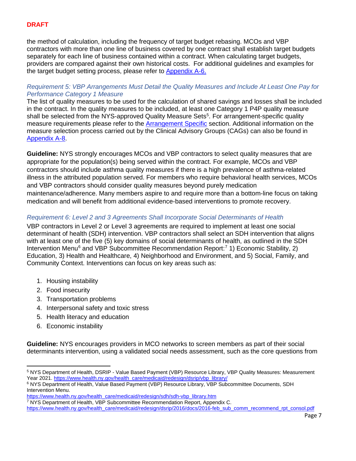the method of calculation, including the frequency of target budget rebasing. MCOs and VBP contractors with more than one line of business covered by one contract shall establish target budgets separately for each line of business contained within a contract. When calculating target budgets, providers are compared against their own historical costs. For additional guidelines and examples for the target budget setting process, please refer to [Appendix A-6.](#page-19-0)

## *Requirement 5: VBP Arrangements Must Detail the Quality Measures and Include At Least One Pay for Performance Category 1 Measure*

The list of quality measures to be used for the calculation of shared savings and losses shall be included in the contract. In the quality measures to be included, at least one Category 1 P4P quality measure shall be selected from the NYS-approved Quality Measure Sets<sup>5</sup>. For arrangement-specific quality measure requirements please refer to the **[Arrangement Specific](#page-8-0)** section. Additional information on the measure selection process carried out by the Clinical Advisory Groups (CAGs) can also be found in [Appendix A-8.](#page-21-0)

**Guideline:** NYS strongly encourages MCOs and VBP contractors to select quality measures that are appropriate for the population(s) being served within the contract. For example, MCOs and VBP contractors should include asthma quality measures if there is a high prevalence of asthma-related illness in the attributed population served. For members who require behavioral health services, MCOs and VBP contractors should consider quality measures beyond purely medication maintenance/adherence. Many members aspire to and require more than a bottom-line focus on taking medication and will benefit from additional evidence-based interventions to promote recovery.

# <span id="page-6-3"></span>*Requirement 6: Level 2 and 3 Agreements Shall Incorporate Social Determinants of Health*

VBP contractors in Level 2 or Level 3 agreements are required to implement at least one social determinant of health (SDH) intervention. VBP contractors shall select an SDH intervention that aligns with at least one of the five (5) key domains of social determinants of health, as outlined in the SDH Intervention Menu<sup>[6](#page-6-1)</sup> and VBP Subcommittee Recommendation Report:<sup>[7](#page-6-2)</sup> 1) Economic Stability, 2) Education, 3) Health and Healthcare, 4) Neighborhood and Environment, and 5) Social, Family, and Community Context. Interventions can focus on key areas such as:

- 1. Housing instability
- 2. Food insecurity
- 3. Transportation problems
- 4. Interpersonal safety and toxic stress
- 5. Health literacy and education
- 6. Economic instability

**Guideline:** NYS encourages providers in MCO networks to screen members as part of their social determinants intervention, using a validated social needs assessment, such as the core questions from

<span id="page-6-0"></span><sup>5</sup> NYS Department of Health, DSRIP - Value Based Payment (VBP) Resource Library, VBP Quality Measures: Measurement Year 2021[. https://www.health.ny.gov/health\\_care/medicaid/redesign/dsrip/vbp\\_library/](https://www.health.ny.gov/health_care/medicaid/redesign/dsrip/vbp_library/)

<span id="page-6-1"></span><sup>6</sup> NYS Department of Health, Value Based Payment (VBP) Resource Library, VBP Subcommittee Documents, SDH Intervention Menu.

[https://www.health.ny.gov/health\\_care/medicaid/redesign/sdh/sdh-vbp\\_library.htm](https://www.health.ny.gov/health_care/medicaid/redesign/sdh/sdh-vbp_library.htm)

<span id="page-6-2"></span><sup>7</sup> NYS Department of Health, VBP Subcommittee Recommendation Report, Appendix C.

[https://www.health.ny.gov/health\\_care/medicaid/redesign/dsrip/2016/docs/2016-feb\\_sub\\_comm\\_recommend\\_rpt\\_consol.pdf](https://www.health.ny.gov/health_care/medicaid/redesign/dsrip/2016/docs/2016-feb_sub_comm_recommend_rpt_consol.pdf)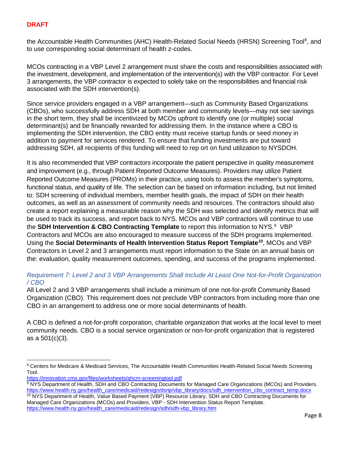the Accountable Health Communities (AHC) Health-Related Social Needs (HRSN) Screening Tool<sup>[8](#page-7-0)</sup>, and to use corresponding social determinant of health z-codes.

MCOs contracting in a VBP Level 2 arrangement must share the costs and responsibilities associated with the investment, development, and implementation of the intervention(s) with the VBP contractor. For Level 3 arrangements, the VBP contractor is expected to solely take on the responsibilities and financial risk associated with the SDH intervention(s).

Since service providers engaged in a VBP arrangement—such as Community Based Organizations (CBOs), who successfully address SDH at both member and community levels—may not see savings in the short term, they shall be incentivized by MCOs upfront to identify one (or multiple) social determinant(s) and be financially rewarded for addressing them. In the instance where a CBO is implementing the SDH intervention, the CBO entity must receive startup funds or seed money in addition to payment for services rendered. To ensure that funding investments are put toward addressing SDH, all recipients of this funding will need to rep ort on fund utilization to NYSDOH.

It is also recommended that VBP contractors incorporate the patient perspective in quality measurement and improvement (e.g., through Patient Reported Outcome Measures). Providers may utilize Patient Reported Outcome Measures (PROMs) in their practice, using tools to assess the member's symptoms, functional status, and quality of life. The selection can be based on information including, but not limited to: SDH screening of individual members, member health goals, the impact of SDH on their health outcomes, as well as an assessment of community needs and resources. The contractors should also create a report explaining a measurable reason why the SDH was selected and identify metrics that will be used to track its success, and report back to NYS. MCOs and VBP contractors will continue to use the SDH Intervention & CBO Contracting Template to report this information to NYS.<sup>[9](#page-7-1)</sup> VBP Contractors and MCOs are also encouraged to measure success of the SDH programs implemented. Using the **Social Determinants of Health Intervention Status Report Template[10](#page-7-2)**, MCOs and VBP Contractors in Level 2 and 3 arrangements must report information to the State on an annual basis on the: evaluation, quality measurement outcomes, spending, and success of the programs implemented.

# *Requirement 7: Level 2 and 3 VBP Arrangements Shall Include At Least One Not-for-Profit Organization / CBO*

All Level 2 and 3 VBP arrangements shall include a minimum of one not-for-profit Community Based Organization (CBO). This requirement does not preclude VBP contractors from including more than one CBO in an arrangement to address one or more social determinants of health.

A CBO is defined a not-for-profit corporation, charitable organization that works at the local level to meet community needs. CBO is a social service organization or non-for-profit organization that is registered as a 501(c)(3).

<https://innovation.cms.gov/files/worksheets/ahcm-screeningtool.pdf>

<span id="page-7-2"></span>[https://www.health.ny.gov/health\\_care/medicaid/redesign/sdh/sdh-vbp\\_library.htm](https://www.health.ny.gov/health_care/medicaid/redesign/sdh/sdh-vbp_library.htm)

<span id="page-7-0"></span><sup>8</sup> Centers for Medicare & Medicaid Services, The Accountable Health Communities Health-Related Social Needs Screening Tool.

<span id="page-7-1"></span><sup>9</sup> NYS Department of Health, SDH and CBO Contracting Documents for Managed Care Organizations (MCOs) and Providers.<br>https://www.health.ny.gov/health\_care/medicaid/redesign/dsrip/vbp\_library/docs/sdh\_intervention\_cbo\_contrac 10 NYS Department of Health, Value Based Payment (VBP) Resource Library, SDH and CBO Contracting Documents for Managed Care Organizations (MCOs) and Providers, VBP - SDH Intervention Status Report Template.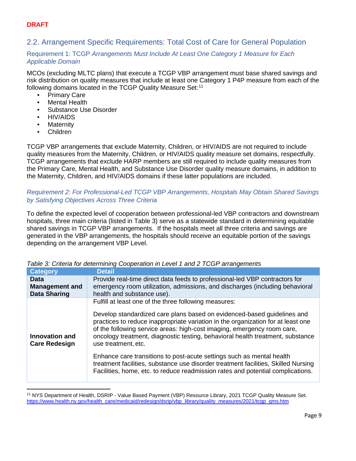# <span id="page-8-0"></span>2.2. Arrangement Specific Requirements: Total Cost of Care for General Population

## Requirement 1: TCGP *Arrangements Must Include At Least One Category 1 Measure for Each Applicable Domain*

MCOs (excluding MLTC plans) that execute a TCGP VBP arrangement must base shared savings and risk distribution on quality measures that include at least one Category 1 P4P measure from each of the following domains located in the TCGP Quality Measure Set:<sup>[11](#page-8-1)</sup>

- Primary Care
- Mental Health
- Substance Use Disorder
- HIV/AIDS
- **Maternity**
- Children

TCGP VBP arrangements that exclude Maternity, Children, or HIV/AIDS are not required to include quality measures from the Maternity, Children, or HIV/AIDS quality measure set domains, respectfully. TCGP arrangements that exclude HARP members are still required to include quality measures from the Primary Care, Mental Health, and Substance Use Disorder quality measure domains, in addition to the Maternity, Children, and HIV/AIDS domains if these latter populations are included.

# *Requirement 2: For Professional-Led TCGP VBP Arrangements, Hospitals May Obtain Shared Savings by Satisfying Objectives Across Three Criteria*

To define the expected level of cooperation between professional-led VBP contractors and downstream hospitals, three main criteria (listed in Table 3) serve as a statewide standard in determining equitable shared savings in TCGP VBP arrangements. If the hospitals meet all three criteria and savings are generated in the VBP arrangements, the hospitals should receive an equitable portion of the savings depending on the arrangement VBP Level.

| <b>Category</b>                        | <b>Detail</b>                                                                                                                                                                                                                                                                                                                                                                                                                                                                                                                                                                                                                                              |
|----------------------------------------|------------------------------------------------------------------------------------------------------------------------------------------------------------------------------------------------------------------------------------------------------------------------------------------------------------------------------------------------------------------------------------------------------------------------------------------------------------------------------------------------------------------------------------------------------------------------------------------------------------------------------------------------------------|
| <b>Data</b>                            | Provide real-time direct data feeds to professional-led VBP contractors for                                                                                                                                                                                                                                                                                                                                                                                                                                                                                                                                                                                |
| <b>Management and</b>                  | emergency room utilization, admissions, and discharges (including behavioral                                                                                                                                                                                                                                                                                                                                                                                                                                                                                                                                                                               |
| <b>Data Sharing</b>                    | health and substance use).                                                                                                                                                                                                                                                                                                                                                                                                                                                                                                                                                                                                                                 |
| Innovation and<br><b>Care Redesign</b> | Fulfill at least one of the three following measures:<br>Develop standardized care plans based on evidenced-based guidelines and<br>practices to reduce inappropriate variation in the organization for at least one<br>of the following service areas: high-cost imaging, emergency room care,<br>oncology treatment, diagnostic testing, behavioral health treatment, substance<br>use treatment, etc.<br>Enhance care transitions to post-acute settings such as mental health<br>treatment facilities, substance use disorder treatment facilities, Skilled Nursing<br>Facilities, home, etc. to reduce readmission rates and potential complications. |
|                                        |                                                                                                                                                                                                                                                                                                                                                                                                                                                                                                                                                                                                                                                            |

*Table 3: Criteria for determining Cooperation in Level 1 and 2 TCGP arrangements*

<span id="page-8-1"></span><sup>11</sup> NYS Department of Health, DSRIP - Value Based Payment (VBP) Resource Library, 2021 TCGP Quality Measure Set. https://www.health.ny.gov/health\_care/medicaid/redesign/dsrip/vbp\_library/quality\_measures/2021/tcgp\_gms.htm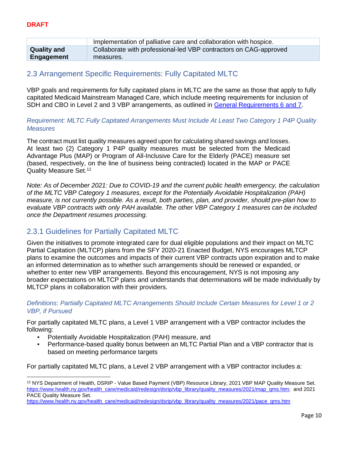|                    | Implementation of palliative care and collaboration with hospice. |
|--------------------|-------------------------------------------------------------------|
| <b>Quality and</b> | Collaborate with professional-led VBP contractors on CAG-approved |
| Engagement         | measures.                                                         |

# <span id="page-9-0"></span>2.3 Arrangement Specific Requirements: Fully Capitated MLTC

VBP goals and requirements for fully capitated plans in MLTC are the same as those that apply to fully capitated Medicaid Mainstream Managed Care, which include meeting requirements for inclusion of SDH and CBO in Level 2 and 3 VBP arrangements, as outlined in [General Requirements 6 and 7.](#page-6-3)

#### *Requirement: MLTC Fully Capitated Arrangements Must Include At Least Two Category 1 P4P Quality Measures*

The contract must list quality measures agreed upon for calculating shared savings and losses. At least two (2) Category 1 P4P quality measures must be selected from the Medicaid Advantage Plus (MAP) or Program of All-Inclusive Care for the Elderly (PACE) measure set (based, respectively, on the line of business being contracted) located in the MAP or PACE Quality Measure Set. [12](#page-9-2)

*Note: As of December 2021: Due to COVID-19 and the current public health emergency, the calculation of the MLTC VBP Category 1 measures, except for the Potentially Avoidable Hospitalization (PAH) measure, is not currently possible. As a result, both parties, plan, and provider, should pre-plan how to evaluate VBP contracts with only PAH available. The other VBP Category 1 measures can be included once the Department resumes processing.*

# <span id="page-9-1"></span>2.3.1 Guidelines for Partially Capitated MLTC

Given the initiatives to promote integrated care for dual eligible populations and their impact on MLTC Partial Capitation (MLTCP) plans from the SFY 2020-21 Enacted Budget, NYS encourages MLTCP plans to examine the outcomes and impacts of their current VBP contracts upon expiration and to make an informed determination as to whether such arrangements should be renewed or expanded, or whether to enter new VBP arrangements. Beyond this encouragement, NYS is not imposing any broader expectations on MLTCP plans and understands that determinations will be made individually by MLTCP plans in collaboration with their providers.

#### *Definitions: Partially Capitated MLTC Arrangements Should Include Certain Measures for Level 1 or 2 VBP, if Pursued*

For partially capitated MLTC plans, a Level 1 VBP arrangement with a VBP contractor includes the following:

- Potentially Avoidable Hospitalization (PAH) measure, and
- Performance-based quality bonus between an MLTC Partial Plan and a VBP contractor that is based on meeting performance targets

For partially capitated MLTC plans, a Level 2 VBP arrangement with a VBP contractor includes a:

<span id="page-9-2"></span><sup>&</sup>lt;sup>12</sup> NYS Department of Health, DSRIP - Value Based Payment (VBP) Resource Library, 2021 VBP MAP Quality Measure Set. [https://www.health.ny.gov/health\\_care/medicaid/redesign/dsrip/vbp\\_library/quality\\_measures/2021/map\\_qms.htm;](https://www.health.ny.gov/health_care/medicaid/redesign/dsrip/vbp_library/quality_measures/2021/map_qms.htm) and 2021 PACE Quality Measure Set.

https://www.health.ny.gov/health\_care/medicaid/redesign/dsrip/vbp\_library/guality\_measures/2021/pace\_gms.htm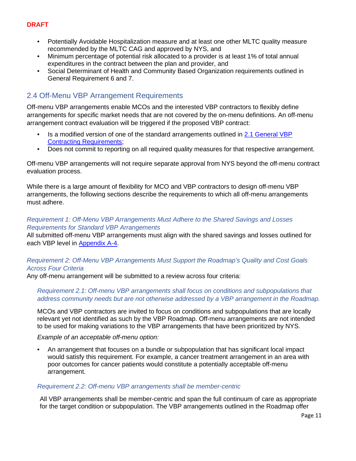- Potentially Avoidable Hospitalization measure and at least one other MLTC quality measure recommended by the MLTC CAG and approved by NYS, and
- Minimum percentage of potential risk allocated to a provider is at least 1% of total annual expenditures in the contract between the plan and provider, and
- Social Determinant of Health and Community Based Organization requirements outlined in General Requirement 6 and 7.

# <span id="page-10-0"></span>2.4 Off-Menu VBP Arrangement Requirements

Off-menu VBP arrangements enable MCOs and the interested VBP contractors to flexibly define arrangements for specific market needs that are not covered by the on-menu definitions. An off-menu arrangement contract evaluation will be triggered if the proposed VBP contract:

- Is a modified version of one of the standard arrangements outlined in 2.1 General VBP [Contracting Requirements;](#page-3-1)
- Does not commit to reporting on all required quality measures for that respective arrangement.

Off-menu VBP arrangements will not require separate approval from NYS beyond the off-menu contract evaluation process.

While there is a large amount of flexibility for MCO and VBP contractors to design off-menu VBP arrangements, the following sections describe the requirements to which all off-menu arrangements must adhere.

### *Requirement 1: Off-Menu VBP Arrangements Must Adhere to the Shared Savings and Losses Requirements for Standard VBP Arrangements*

All submitted off-menu VBP arrangements must align with the shared savings and losses outlined for each VBP level in [Appendix A-4.](#page-17-0)

# *Requirement 2: Off-Menu VBP Arrangements Must Support the Roadmap's Quality and Cost Goals Across Four Criteria*

Any off-menu arrangement will be submitted to a review across four criteria:

#### *Requirement 2.1: Off-menu VBP arrangements shall focus on conditions and subpopulations that address community needs but are not otherwise addressed by a VBP arrangement in the Roadmap.*

MCOs and VBP contractors are invited to focus on conditions and subpopulations that are locally relevant yet not identified as such by the VBP Roadmap. Off-menu arrangements are not intended to be used for making variations to the VBP arrangements that have been prioritized by NYS.

*Example of an acceptable off-menu option:*

• An arrangement that focuses on a bundle or subpopulation that has significant local impact would satisfy this requirement. For example, a cancer treatment arrangement in an area with poor outcomes for cancer patients would constitute a potentially acceptable off-menu arrangement.

#### *Requirement 2.2: Off-menu VBP arrangements shall be member-centric*

All VBP arrangements shall be member-centric and span the full continuum of care as appropriate for the target condition or subpopulation. The VBP arrangements outlined in the Roadmap offer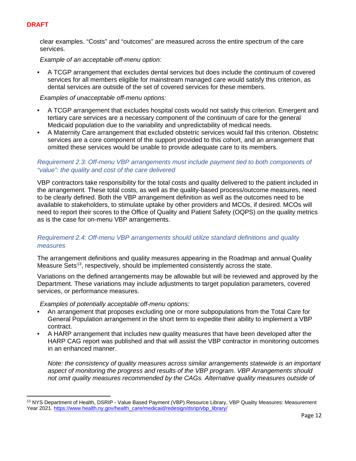clear examples. "Costs" and "outcomes" are measured across the entire spectrum of the care services.

*Example of an acceptable off-menu option:*

• A TCGP arrangement that excludes dental services but does include the continuum of covered services for all members eligible for mainstream managed care would satisfy this criterion, as dental services are outside of the set of covered services for these members.

*Examples of unacceptable off-menu options:* 

- A TCGP arrangement that excludes hospital costs would not satisfy this criterion. Emergent and tertiary care services are a necessary component of the continuum of care for the general Medicaid population due to the variability and unpredictability of medical needs.
- A Maternity Care arrangement that excluded obstetric services would fail this criterion. Obstetric services are a core component of the support provided to this cohort, and an arrangement that omitted these services would be unable to provide adequate care to its members.

#### *Requirement 2.3: Off-menu VBP arrangements must include payment tied to both components of "value": the quality and cost of the care delivered*

VBP contractors take responsibility for the total costs and quality delivered to the patient included in the arrangement. These total costs, as well as the quality-based process/outcome measures, need to be clearly defined. Both the VBP arrangement definition as well as the outcomes need to be available to stakeholders, to stimulate uptake by other providers and MCOs, if desired. MCOs will need to report their scores to the Office of Quality and Patient Safety (OQPS) on the quality metrics as is the case for on-menu VBP arrangements.

## *Requirement 2.4: Off-menu VBP arrangements should utilize standard definitions and quality measures*

The arrangement definitions and quality measures appearing in the Roadmap and annual Quality Measure Sets<sup>13</sup>, respectively, should be implemented consistently across the state.

Variations on the defined arrangements may be allowable but will be reviewed and approved by the Department. These variations may include adjustments to target population parameters, covered services, or performance measures.

*Examples of potentially acceptable off-menu options:* 

- An arrangement that proposes excluding one or more subpopulations from the Total Care for General Population arrangement in the short term to expedite their ability to implement a VBP contract.
- A HARP arrangement that includes new quality measures that have been developed after the HARP CAG report was published and that will assist the VBP contractor in monitoring outcomes in an enhanced manner.

*Note: the consistency of quality measures across similar arrangements statewide is an important aspect of monitoring the progress and results of the VBP program. VBP Arrangements should not omit quality measures recommended by the CAGs. Alternative quality measures outside of* 

<span id="page-11-0"></span><sup>13</sup> NYS Department of Health, DSRIP - Value Based Payment (VBP) Resource Library, VBP Quality Measures: Measurement Year 2021[. https://www.health.ny.gov/health\\_care/medicaid/redesign/dsrip/vbp\\_library/](https://www.health.ny.gov/health_care/medicaid/redesign/dsrip/vbp_library/)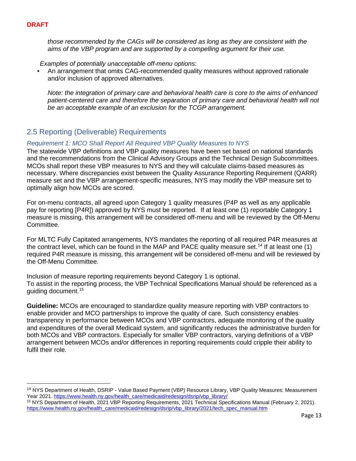*those recommended by the CAGs will be considered as long as they are consistent with the aims of the VBP program and are supported by a compelling argument for their use.*

*Examples of potentially unacceptable off-menu options:* 

• An arrangement that omits CAG-recommended quality measures without approved rationale and/or inclusion of approved alternatives.

*Note: the integration of primary care and behavioral health care is core to the aims of enhanced patient-centered care and therefore the separation of primary care and behavioral health will not be an acceptable example of an exclusion for the TCGP arrangement.* 

# <span id="page-12-0"></span>2.5 Reporting (Deliverable) Requirements

## *Requirement 1: MCO Shall Report All Required VBP Quality Measures to NYS*

The statewide VBP definitions and VBP quality measures have been set based on national standards and the recommendations from the Clinical Advisory Groups and the Technical Design Subcommittees. MCOs shall report these VBP measures to NYS and they will calculate claims-based measures as necessary. Where discrepancies exist between the Quality Assurance Reporting Requirement (QARR) measure set and the VBP arrangement-specific measures, NYS may modify the VBP measure set to optimally align how MCOs are scored.

For on-menu contracts, all agreed upon Category 1 quality measures (P4P as well as any applicable pay for reporting [P4R]) approved by NYS must be reported. If at least one (1) reportable Category 1 measure is missing, this arrangement will be considered off-menu and will be reviewed by the Off-Menu Committee.

For MLTC Fully Capitated arrangements, NYS mandates the reporting of all required P4R measures at the contract level, which can be found in the MAP and PACE quality measure set.<sup>[14](#page-12-1)</sup> If at least one (1) required P4R measure is missing, this arrangement will be considered off-menu and will be reviewed by the Off-Menu Committee.

Inclusion of measure reporting requirements beyond Category 1 is optional. To assist in the reporting process, the VBP Technical Specifications Manual should be referenced as a guiding document[.15](#page-12-2)

**Guideline:** MCOs are encouraged to standardize quality measure reporting with VBP contractors to enable provider and MCO partnerships to improve the quality of care. Such consistency enables transparency in performance between MCOs and VBP contractors, adequate monitoring of the quality and expenditures of the overall Medicaid system, and significantly reduces the administrative burden for both MCOs and VBP contractors. Especially for smaller VBP contractors, varying definitions of a VBP arrangement between MCOs and/or differences in reporting requirements could cripple their ability to fulfil their role.

<span id="page-12-1"></span><sup>14</sup> NYS Department of Health, DSRIP - Value Based Payment (VBP) Resource Library, VBP Quality Measures: Measurement Year 2021[. https://www.health.ny.gov/health\\_care/medicaid/redesign/dsrip/vbp\\_library/](https://www.health.ny.gov/health_care/medicaid/redesign/dsrip/vbp_library/)

<span id="page-12-2"></span><sup>15</sup> NYS Department of Health, 2021 VBP Reporting Requirements, 2021 Technical Specifications Manual (February 2, 2021). [https://www.health.ny.gov/health\\_care/medicaid/redesign/dsrip/vbp\\_library/2021/tech\\_spec\\_manual.htm](https://www.health.ny.gov/health_care/medicaid/redesign/dsrip/vbp_library/2021/tech_spec_manual.htm)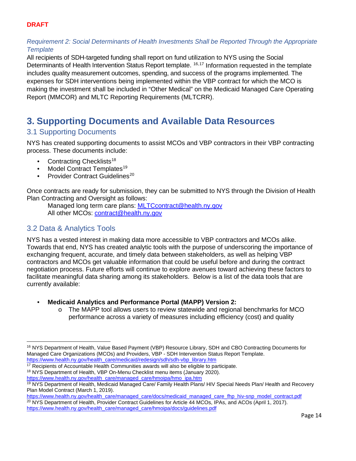# *Requirement 2: Social Determinants of Health Investments Shall be Reported Through the Appropriate Template*

All recipients of SDH-targeted funding shall report on fund utilization to NYS using the Social Determinants of Health Intervention Status Report template.<sup>[16,](#page-13-3)[17](#page-13-4)</sup> Information requested in the template includes quality measurement outcomes, spending, and success of the programs implemented. The expenses for SDH interventions being implemented within the VBP contract for which the MCO is making the investment shall be included in "Other Medical" on the Medicaid Managed Care Operating Report (MMCOR) and MLTC Reporting Requirements (MLTCRR).

# <span id="page-13-0"></span>**3. Supporting Documents and Available Data Resources**

# <span id="page-13-1"></span>3.1 Supporting Documents

NYS has created supporting documents to assist MCOs and VBP contractors in their VBP contracting process. These documents include:

- Contracting Checklists<sup>[18](#page-13-5)</sup>
- Model Contract Templates<sup>[19](#page-13-6)</sup><br>• Provider Contract Guidelines
- Provider Contract Guidelines<sup>[20](#page-13-7)</sup>

Once contracts are ready for submission, they can be submitted to NYS through the Division of Health Plan Contracting and Oversight as follows:

Managed long term care plans: [MLTCcontract@health.ny.gov](mailto:MLTCcontract@health.ny.gov) All other MCOs: [contract@health.ny.gov](mailto:contract@health.ny.gov)

# <span id="page-13-2"></span>3.2 Data & Analytics Tools

NYS has a vested interest in making data more accessible to VBP contractors and MCOs alike. Towards that end, NYS has created analytic tools with the purpose of underscoring the importance of exchanging frequent, accurate, and timely data between stakeholders, as well as helping VBP contractors and MCOs get valuable information that could be useful before and during the contract negotiation process. Future efforts will continue to explore avenues toward achieving these factors to facilitate meaningful data sharing among its stakeholders. Below is a list of the data tools that are currently available:

- **Medicaid Analytics and Performance Portal (MAPP) Version 2:** 
	- o The MAPP tool allows users to review statewide and regional benchmarks for MCO performance across a variety of measures including efficiency (cost) and quality

- <span id="page-13-4"></span><sup>17</sup> Recipients of Accountable Health Communities awards will also be eligible to participate.
- <span id="page-13-5"></span><sup>18</sup> NYS Department of Health, VBP On-Menu Checklist menu items (January 2020). [https://www.health.ny.gov/health\\_care/managed\\_care/hmoipa/hmo\\_ipa.htm](https://www.health.ny.gov/health_care/managed_care/hmoipa/hmo_ipa.htm)

<span id="page-13-3"></span><sup>16</sup> NYS Department of Health, Value Based Payment (VBP) Resource Library, SDH and CBO Contracting Documents for Managed Care Organizations (MCOs) and Providers, VBP - SDH Intervention Status Report Template. [https://www.health.ny.gov/health\\_care/medicaid/redesign/sdh/sdh-vbp\\_library.htm](https://www.health.ny.gov/health_care/medicaid/redesign/sdh/sdh-vbp_library.htm)

<span id="page-13-6"></span><sup>19</sup> NYS Department of Health, Medicaid Managed Care/ Family Health Plans/ HIV Special Needs Plan/ Health and Recovery Plan Model Contract (March 1, 2019).

<span id="page-13-7"></span>[https://www.health.ny.gov/health\\_care/managed\\_care/docs/medicaid\\_managed\\_care\\_fhp\\_hiv-snp\\_model\\_contract.pdf](https://www.health.ny.gov/health_care/managed_care/docs/medicaid_managed_care_fhp_hiv-snp_model_contract.pdf) <sup>20</sup> NYS Department of Health, Provider Contract Guidelines for Article 44 MCOs, IPAs, and ACOs (April 1, 2017). [https://www.health.ny.gov/health\\_care/managed\\_care/hmoipa/docs/guidelines.pdf](https://www.health.ny.gov/health_care/managed_care/hmoipa/docs/guidelines.pdf)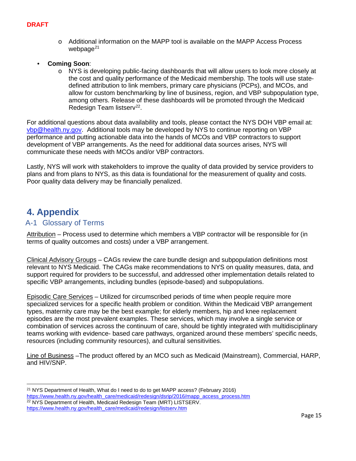- o Additional information on the MAPP tool is available on the MAPP Access Process webpage $^{21}$  $^{21}$  $^{21}$
- **Coming Soon**:
	- o NYS is developing public-facing dashboards that will allow users to look more closely at the cost and quality performance of the Medicaid membership. The tools will use statedefined attribution to link members, primary care physicians (PCPs), and MCOs, and allow for custom benchmarking by line of business, region, and VBP subpopulation type, among others. Release of these dashboards will be promoted through the Medicaid Redesign Team listserv<sup>[22](#page-14-3)</sup>.

For additional questions about data availability and tools, please contact the NYS DOH VBP email at: [vbp@health.ny.gov.](mailto:vbp@health.ny.gov) Additional tools may be developed by NYS to continue reporting on VBP performance and putting actionable data into the hands of MCOs and VBP contractors to support development of VBP arrangements. As the need for additional data sources arises, NYS will communicate these needs with MCOs and/or VBP contractors.

Lastly, NYS will work with stakeholders to improve the quality of data provided by service providers to plans and from plans to NYS, as this data is foundational for the measurement of quality and costs. Poor quality data delivery may be financially penalized.

# <span id="page-14-0"></span>**4. Appendix**

# <span id="page-14-1"></span>A-1 Glossary of Terms

Attribution – Process used to determine which members a VBP contractor will be responsible for (in terms of quality outcomes and costs) under a VBP arrangement.

Clinical Advisory Groups – CAGs review the care bundle design and subpopulation definitions most relevant to NYS Medicaid. The CAGs make recommendations to NYS on quality measures, data, and support required for providers to be successful, and addressed other implementation details related to specific VBP arrangements, including bundles (episode-based) and subpopulations.

Episodic Care Services – Utilized for circumscribed periods of time when people require more specialized services for a specific health problem or condition. Within the Medicaid VBP arrangement types, maternity care may be the best example; for elderly members, hip and knee replacement episodes are the most prevalent examples. These services, which may involve a single service or combination of services across the continuum of care, should be tightly integrated with multidisciplinary teams working with evidence- based care pathways, organized around these members' specific needs, resources (including community resources), and cultural sensitivities.

Line of Business –The product offered by an MCO such as Medicaid (Mainstream), Commercial, HARP, and HIV/SNP.

<span id="page-14-3"></span><span id="page-14-2"></span><sup>21</sup> NYS Department of Health, What do I need to do to get MAPP access? (February 2016) [https://www.health.ny.gov/health\\_care/medicaid/redesign/dsrip/2016/mapp\\_access\\_process.htm](https://www.health.ny.gov/health_care/medicaid/redesign/dsrip/2016/mapp_access_process.htm) <sup>22</sup> NYS Department of Health, Medicaid Redesign Team (MRT) LISTSERV. [https://www.health.ny.gov/health\\_care/medicaid/redesign/listserv.htm](https://www.health.ny.gov/health_care/medicaid/redesign/listserv.htm)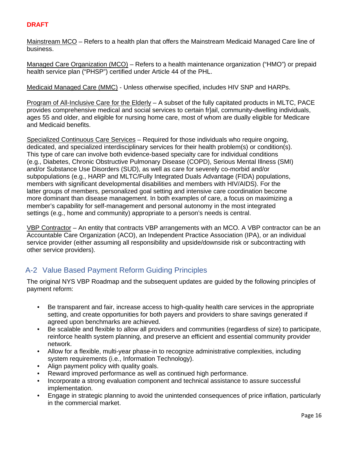Mainstream MCO – Refers to a health plan that offers the Mainstream Medicaid Managed Care line of business.

Managed Care Organization (MCO) – Refers to a health maintenance organization ("HMO") or prepaid health service plan ("PHSP") certified under Article 44 of the PHL.

Medicaid Managed Care (MMC) - Unless otherwise specified, includes HIV SNP and HARPs.

Program of All-Inclusive Care for the Elderly – A subset of the fully capitated products in MLTC, PACE provides comprehensive medical and social services to certain fr]ail, community-dwelling individuals, ages 55 and older, and eligible for nursing home care, most of whom are dually eligible for Medicare and Medicaid benefits.

Specialized Continuous Care Services – Required for those individuals who require ongoing, dedicated, and specialized interdisciplinary services for their health problem(s) or condition(s). This type of care can involve both evidence-based specialty care for individual conditions (e.g., Diabetes, Chronic Obstructive Pulmonary Disease (COPD), Serious Mental Illness (SMI) and/or Substance Use Disorders (SUD), as well as care for severely co-morbid and/or subpopulations (e.g., HARP and MLTC/Fully Integrated Duals Advantage (FIDA) populations, members with significant developmental disabilities and members with HIV/AIDS). For the latter groups of members, personalized goal setting and intensive care coordination become more dominant than disease management. In both examples of care, a focus on maximizing a member's capability for self-management and personal autonomy in the most integrated settings (e.g., home and community) appropriate to a person's needs is central.

VBP Contractor – An entity that contracts VBP arrangements with an MCO. A VBP contractor can be an Accountable Care Organization (ACO), an Independent Practice Association (IPA), or an individual service provider (either assuming all responsibility and upside/downside risk or subcontracting with other service providers).

# <span id="page-15-0"></span>A-2 Value Based Payment Reform Guiding Principles

The original NYS VBP Roadmap and the subsequent updates are guided by the following principles of payment reform:

- Be transparent and fair, increase access to high-quality health care services in the appropriate setting, and create opportunities for both payers and providers to share savings generated if agreed upon benchmarks are achieved.
- Be scalable and flexible to allow all providers and communities (regardless of size) to participate, reinforce health system planning, and preserve an efficient and essential community provider network.
- Allow for a flexible, multi-year phase-in to recognize administrative complexities, including system requirements (i.e., Information Technology).
- Align payment policy with quality goals.
- Reward improved performance as well as continued high performance.
- Incorporate a strong evaluation component and technical assistance to assure successful implementation.
- Engage in strategic planning to avoid the unintended consequences of price inflation, particularly in the commercial market.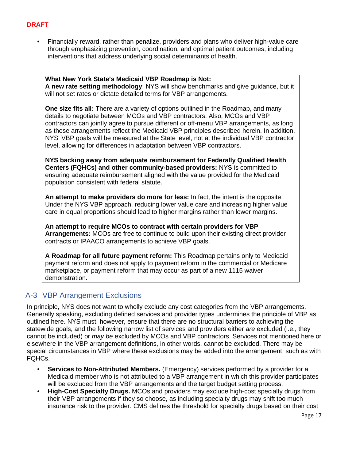• Financially reward, rather than penalize, providers and plans who deliver high-value care through emphasizing prevention, coordination, and optimal patient outcomes, including interventions that address underlying social determinants of health.

**What New York State's Medicaid VBP Roadmap is Not: A new rate setting methodology**: NYS will show benchmarks and give guidance, but it will not set rates or dictate detailed terms for VBP arrangements.

**One size fits all:** There are a variety of options outlined in the Roadmap, and many details to negotiate between MCOs and VBP contractors. Also, MCOs and VBP contractors can jointly agree to pursue different or off-menu VBP arrangements, as long as those arrangements reflect the Medicaid VBP principles described herein. In addition, NYS' VBP goals will be measured at the State level, not at the individual VBP contractor level, allowing for differences in adaptation between VBP contractors.

**NYS backing away from adequate reimbursement for Federally Qualified Health Centers (FQHCs) and other community-based providers:** NYS is committed to ensuring adequate reimbursement aligned with the value provided for the Medicaid population consistent with federal statute.

**An attempt to make providers do more for less:** In fact, the intent is the opposite. Under the NYS VBP approach, reducing lower value care and increasing higher value care in equal proportions should lead to higher margins rather than lower margins.

**An attempt to require MCOs to contract with certain providers for VBP Arrangements:** MCOs are free to continue to build upon their existing direct provider contracts or IPAACO arrangements to achieve VBP goals.

**A Roadmap for all future payment reform:** This Roadmap pertains only to Medicaid payment reform and does not apply to payment reform in the commercial or Medicare marketplace, or payment reform that may occur as part of a new 1115 waiver demonstration.

# <span id="page-16-0"></span>A-3 VBP Arrangement Exclusions

In principle, NYS does not want to wholly exclude any cost categories from the VBP arrangements. Generally speaking, excluding defined services and provider types undermines the principle of VBP as outlined here. NYS must, however, ensure that there are no structural barriers to achieving the statewide goals, and the following narrow list of services and providers either *are* excluded (i.e., they cannot be included) or *may be* excluded by MCOs and VBP contractors. Services not mentioned here or elsewhere in the VBP arrangement definitions, in other words, cannot be excluded. There may be special circumstances in VBP where these exclusions may be added into the arrangement, such as with FQHCs.

- **Services to Non-Attributed Members.** (Emergency) services performed by a provider for a Medicaid member who is not attributed to a VBP arrangement in which this provider participates will be excluded from the VBP arrangements and the target budget setting process.
- **High-Cost Specialty Drugs.** MCOs and providers may exclude high-cost specialty drugs from their VBP arrangements if they so choose, as including specialty drugs may shift too much insurance risk to the provider. CMS defines the threshold for specialty drugs based on their cost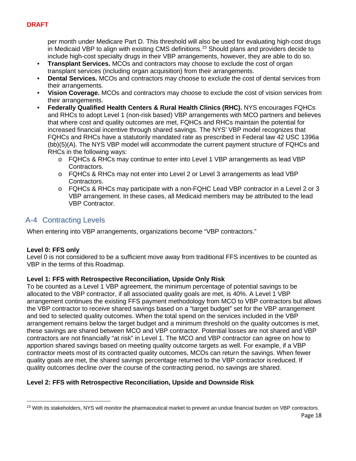per month under Medicare Part D. This threshold will also be used for evaluating high-cost drugs in Medicaid VBP to align with existing CMS definitions.<sup>[23](#page-17-1)</sup> Should plans and providers decide to include high-cost specialty drugs in their VBP arrangements, however, they are able to do so.

- **Transplant Services.** MCOs and contractors may choose to exclude the cost of organ transplant services (including organ acquisition) from their arrangements.
- **Dental Services.** MCOs and contractors may choose to exclude the cost of dental services from their arrangements.
- **Vision Coverage.** MCOs and contractors may choose to exclude the cost of vision services from their arrangements.
- **Federally Qualified Health Centers & Rural Health Clinics (RHC).** NYS encourages FQHCs and RHCs to adopt Level 1 (non-risk based) VBP arrangements with MCO partners and believes that where cost and quality outcomes are met, FQHCs and RHCs maintain the potential for increased financial incentive through shared savings. The NYS' VBP model recognizes that FQHCs and RHCs have a statutorily mandated rate as prescribed in Federal law 42 USC 1396a (bb)(5)(A). The NYS VBP model will accommodate the current payment structure of FQHCs and RHCs in the following ways:
	- o FQHCs & RHCs may continue to enter into Level 1 VBP arrangements as lead VBP Contractors.
	- o FQHCs & RHCs may not enter into Level 2 or Level 3 arrangements as lead VBP Contractors.
	- o FQHCs & RHCs may participate with a non-FQHC Lead VBP contractor in a Level 2 or 3 VBP arrangement. In these cases, all Medicaid members may be attributed to the lead VBP Contractor.

# <span id="page-17-0"></span>A-4 Contracting Levels

When entering into VBP arrangements, organizations become "VBP contractors."

## **Level 0: FFS only**

Level 0 is not considered to be a sufficient move away from traditional FFS incentives to be counted as VBP in the terms of this Roadmap.

## **Level 1: FFS with Retrospective Reconciliation, Upside Only Risk**

To be counted as a Level 1 VBP agreement, the minimum percentage of potential savings to be allocated to the VBP contractor, if all associated quality goals are met, is 40%. A Level 1 VBP arrangement continues the existing FFS payment methodology from MCO to VBP contractors but allows the VBP contractor to receive shared savings based on a "target budget" set for the VBP arrangement and tied to selected quality outcomes. When the total spend on the services included in the VBP arrangement remains below the target budget and a minimum threshold on the quality outcomes is met, these savings are shared between MCO and VBP contractor. Potential losses are not shared and VBP contractors are not financially "at risk" in Level 1. The MCO and VBP contractor can agree on how to apportion shared savings based on meeting quality outcome targets as well. For example, if a VBP contractor meets most of its contracted quality outcomes, MCOs can return the savings. When fewer quality goals are met, the shared savings percentage returned to the VBP contractor isreduced. If quality outcomes decline over the course of the contracting period, no savings are shared.

# **Level 2: FFS with Retrospective Reconciliation, Upside and Downside Risk**

<span id="page-17-1"></span><sup>&</sup>lt;sup>23</sup> With its stakeholders, NYS will monitor the pharmaceutical market to prevent an undue financial burden on VBP contractors.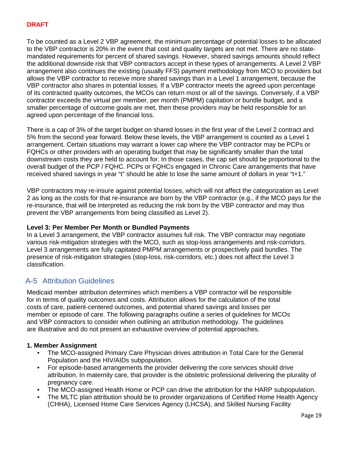To be counted as a Level 2 VBP agreement, the minimum percentage of potential losses to be allocated to the VBP contractor is 20% in the event that cost and quality targets are not met. There are no statemandated requirements for percent of shared savings. However, shared savings amounts should reflect the additional downside risk that VBP contractors accept in these types of arrangements. A Level 2 VBP arrangement also continues the existing (usually FFS) payment methodology from MCO to providers but allows the VBP contractor to receive more shared savings than in a Level 1 arrangement, because the VBP contractor also shares in potential losses. If a VBP contractor meets the agreed upon percentage of its contracted quality outcomes, the MCOs can return most or all of the savings. Conversely, if a VBP contractor exceeds the virtual per member, per month (PMPM) capitation or bundle budget, and a smaller percentage of outcome goals are met, then these providers may be held responsible for an agreed upon percentage of the financial loss.

There is a cap of 3% of the target budget on shared losses in the first year of the Level 2 contract and 5% from the second year forward. Below these levels, the VBP arrangement is counted as a Level 1 arrangement. Certain situations may warrant a lower cap where the VBP contractor may be PCPs or FQHCs or other providers with an operating budget that may be significantly smaller than the total downstream costs they are held to account for. In those cases, the cap set should be proportional to the overall budget of the PCP / FQHC. PCPs or FQHCs engaged in Chronic Care arrangements that have received shared savings in year "t" should be able to lose the same amount of dollars in year "t+1."

VBP contractors may re-insure against potential losses, which will not affect the categorization as Level 2 as long as the costs for that re-insurance are born by the VBP contractor (e.g., if the MCO pays for the re-insurance, that will be interpreted as reducing the risk born by the VBP contractor and may thus prevent the VBP arrangements from being classified as Level 2).

## **Level 3: Per Member Per Month or Bundled Payments**

In a Level 3 arrangement, the VBP contractor assumes full risk. The VBP contractor may negotiate various risk-mitigation strategies with the MCO, such as stop-loss arrangements and risk-corridors. Level 3 arrangements are fully capitated PMPM arrangements or prospectively paid bundles. The presence of risk-mitigation strategies (stop-loss, risk-corridors, etc.) does not affect the Level 3 classification.

# <span id="page-18-0"></span>A-5 Attribution Guidelines

Medicaid member attribution determines which members a VBP contractor will be responsible for in terms of quality outcomes and costs. Attribution allows for the calculation of the total costs of care, patient-centered outcomes, and potential shared savings and losses per member or episode of care. The following paragraphs outline a series of guidelines for MCOs and VBP contractors to consider when outlining an attribution methodology. The guidelines are illustrative and do not present an exhaustive overview of potential approaches.

## **1. Member Assignment**

- The MCO-assigned Primary Care Physician drives attribution in Total Care for the General Population and the HIV/AIDs subpopulation.
- For episode-based arrangements the provider delivering the core services should drive attribution. In maternity care, that provider is the obstetric professional delivering the plurality of pregnancy care.
- The MCO-assigned Health Home or PCP can drive the attribution for the HARP subpopulation.
- The MLTC plan attribution should be to provider organizations of Certified Home Health Agency (CHHA), Licensed Home Care Services Agency (LHCSA), and Skilled Nursing Facility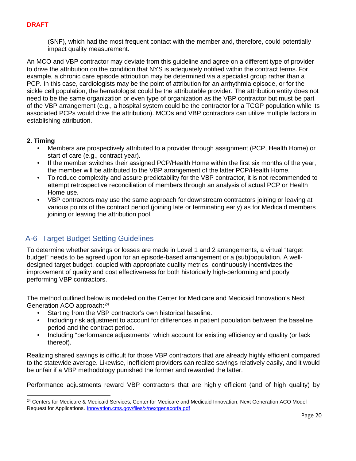(SNF), which had the most frequent contact with the member and, therefore, could potentially impact quality measurement.

An MCO and VBP contractor may deviate from this guideline and agree on a different type of provider to drive the attribution on the condition that NYS is adequately notified within the contract terms. For example, a chronic care episode attribution may be determined via a specialist group rather than a PCP. In this case, cardiologists may be the point of attribution for an arrhythmia episode, or for the sickle cell population, the hematologist could be the attributable provider. The attribution entity does not need to be the same organization or even type of organization as the VBP contractor but must be part of the VBP arrangement (e.g., a hospital system could be the contractor for a TCGP population while its associated PCPs would drive the attribution). MCOs and VBP contractors can utilize multiple factors in establishing attribution.

#### **2. Timing**

- Members are prospectively attributed to a provider through assignment (PCP, Health Home) or start of care (e.g., contract year).
- If the member switches their assigned PCP/Health Home within the first six months of the year, the member will be attributed to the VBP arrangement of the latter PCP/Health Home.
- To reduce complexity and assure predictability for the VBP contractor, it is not recommended to attempt retrospective reconciliation of members through an analysis of actual PCP or Health Home use.
- VBP contractors may use the same approach for downstream contractors joining or leaving at various points of the contract period (joining late or terminating early) as for Medicaid members joining or leaving the attribution pool.

# <span id="page-19-0"></span>A-6 Target Budget Setting Guidelines

To determine whether savings or losses are made in Level 1 and 2 arrangements, a virtual "target budget" needs to be agreed upon for an episode-based arrangement or a (sub)population. A welldesigned target budget, coupled with appropriate quality metrics, continuously incentivizes the improvement of quality and cost effectiveness for both historically high-performing and poorly performing VBP contractors.

The method outlined below is modeled on the Center for Medicare and Medicaid Innovation's Next Generation ACO approach:[24](#page-19-1)

- Starting from the VBP contractor's own historical baseline.
- Including risk adjustment to account for differences in patient population between the baseline period and the contract period.
- Including "performance adjustments" which account for existing efficiency and quality (or lack thereof).

Realizing shared savings is difficult for those VBP contractors that are already highly efficient compared to the statewide average. Likewise, inefficient providers can realize savings relatively easily, and it would be unfair if a VBP methodology punished the former and rewarded the latter.

Performance adjustments reward VBP contractors that are highly efficient (and of high quality) by

<span id="page-19-1"></span><sup>&</sup>lt;sup>24</sup> Centers for Medicare & Medicaid Services, Center for Medicare and Medicaid Innovation, Next Generation ACO Model Request for Applications. Innovation.cms.gov/files/x/nextgenacorfa.pdf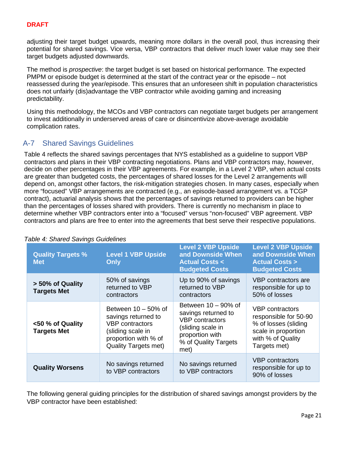adjusting their target budget upwards, meaning more dollars in the overall pool, thus increasing their potential for shared savings. Vice versa, VBP contractors that deliver much lower value may see their target budgets adjusted downwards.

The method is *prospective*: the target budget is set based on historical performance. The expected PMPM or episode budget is determined at the start of the contract year or the episode – not reassessed during the year/episode. This ensures that an unforeseen shift in population characteristics does not unfairly (dis)advantage the VBP contractor while avoiding gaming and increasing predictability.

Using this methodology, the MCOs and VBP contractors can negotiate target budgets per arrangement to invest additionally in underserved areas of care or disincentivize above-average avoidable complication rates.

# <span id="page-20-0"></span>A-7 Shared Savings Guidelines

Table 4 reflects the shared savings percentages that NYS established as a guideline to support VBP contractors and plans in their VBP contracting negotiations. Plans and VBP contractors may, however, decide on other percentages in their VBP agreements. For example, in a Level 2 VBP, when actual costs are greater than budgeted costs, the percentages of shared losses for the Level 2 arrangements will depend on, amongst other factors, the risk-mitigation strategies chosen. In many cases, especially when more "focused" VBP arrangements are contracted (e.g., an episode-based arrangement vs. a TCGP contract), actuarial analysis shows that the percentages of savings returned to providers can be higher than the percentages of losses shared with providers. There is currently no mechanism in place to determine whether VBP contractors enter into a "focused" versus "non-focused" VBP agreement. VBP contractors and plans are free to enter into the agreements that best serve their respective populations.

| <b>Quality Targets %</b><br><b>Met</b> | <b>Level 1 VBP Upside</b><br><b>Only</b>                                                                                                            | <b>Level 2 VBP Upside</b><br>and Downside When<br><b>Actual Costs &lt;</b><br><b>Budgeted Costs</b>                                             | <b>Level 2 VBP Upside</b><br>and Downside When<br><b>Actual Costs &gt;</b><br><b>Budgeted Costs</b>                          |
|----------------------------------------|-----------------------------------------------------------------------------------------------------------------------------------------------------|-------------------------------------------------------------------------------------------------------------------------------------------------|------------------------------------------------------------------------------------------------------------------------------|
| > 50% of Quality<br><b>Targets Met</b> | 50% of savings<br>returned to VBP<br>contractors                                                                                                    | Up to 90% of savings<br>returned to VBP<br>contractors                                                                                          | VBP contractors are<br>responsible for up to<br>50% of losses                                                                |
| <50 % of Quality<br><b>Targets Met</b> | Between $10 - 50\%$ of<br>savings returned to<br><b>VBP</b> contractors<br>(sliding scale in<br>proportion with % of<br><b>Quality Targets met)</b> | Between $10 - 90\%$ of<br>savings returned to<br><b>VBP</b> contractors<br>(sliding scale in<br>proportion with<br>% of Quality Targets<br>met) | VBP contractors<br>responsible for 50-90<br>% of losses (sliding<br>scale in proportion<br>with % of Quality<br>Targets met) |
| <b>Quality Worsens</b>                 | No savings returned<br>to VBP contractors                                                                                                           | No savings returned<br>to VBP contractors                                                                                                       | VBP contractors<br>responsible for up to<br>90% of losses                                                                    |

## *Table 4: Shared Savings Guidelines*

The following general guiding principles for the distribution of shared savings amongst providers by the VBP contractor have been established: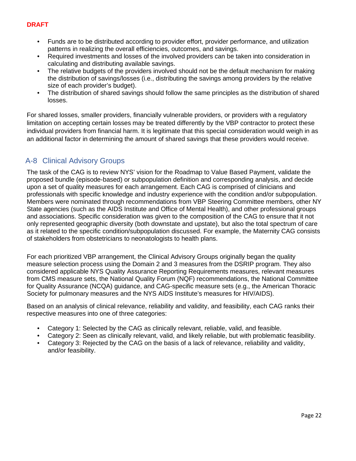- Funds are to be distributed according to provider effort, provider performance, and utilization patterns in realizing the overall efficiencies, outcomes, and savings.
- Required investments and losses of the involved providers can be taken into consideration in calculating and distributing available savings.
- The relative budgets of the providers involved should not be the default mechanism for making the distribution of savings/losses (i.e., distributing the savings among providers by the relative size of each provider's budget).
- The distribution of shared savings should follow the same principles as the distribution of shared losses.

For shared losses, smaller providers, financially vulnerable providers, or providers with a regulatory limitation on accepting certain losses may be treated differently by the VBP contractor to protect these individual providers from financial harm. It is legitimate that this special consideration would weigh in as an additional factor in determining the amount of shared savings that these providers would receive.

# <span id="page-21-0"></span>A-8 Clinical Advisory Groups

The task of the CAG is to review NYS' vision for the Roadmap to Value Based Payment, validate the proposed bundle (episode-based) or subpopulation definition and corresponding analysis, and decide upon a set of quality measures for each arrangement. Each CAG is comprised of clinicians and professionals with specific knowledge and industry experience with the condition and/or subpopulation. Members were nominated through recommendations from VBP Steering Committee members, other NY State agencies (such as the AIDS Institute and Office of Mental Health), and other professional groups and associations. Specific consideration was given to the composition of the CAG to ensure that it not only represented geographic diversity (both downstate and upstate), but also the total spectrum of care as it related to the specific condition/subpopulation discussed. For example, the Maternity CAG consists of stakeholders from obstetricians to neonatologists to health plans.

For each prioritized VBP arrangement, the Clinical Advisory Groups originally began the quality measure selection process using the Domain 2 and 3 measures from the DSRIP program. They also considered applicable NYS Quality Assurance Reporting Requirements measures, relevant measures from CMS measure sets, the National Quality Forum (NQF) recommendations, the National Committee for Quality Assurance (NCQA) guidance, and CAG-specific measure sets (e.g., the American Thoracic Society for pulmonary measures and the NYS AIDS Institute's measures for HIV/AIDS).

Based on an analysis of clinical relevance, reliability and validity, and feasibility, each CAG ranks their respective measures into one of three categories:

- Category 1: Selected by the CAG as clinically relevant, reliable, valid, and feasible.
- Category 2: Seen as clinically relevant, valid, and likely reliable, but with problematic feasibility.
- Category 3: Rejected by the CAG on the basis of a lack of relevance, reliability and validity, and/or feasibility.